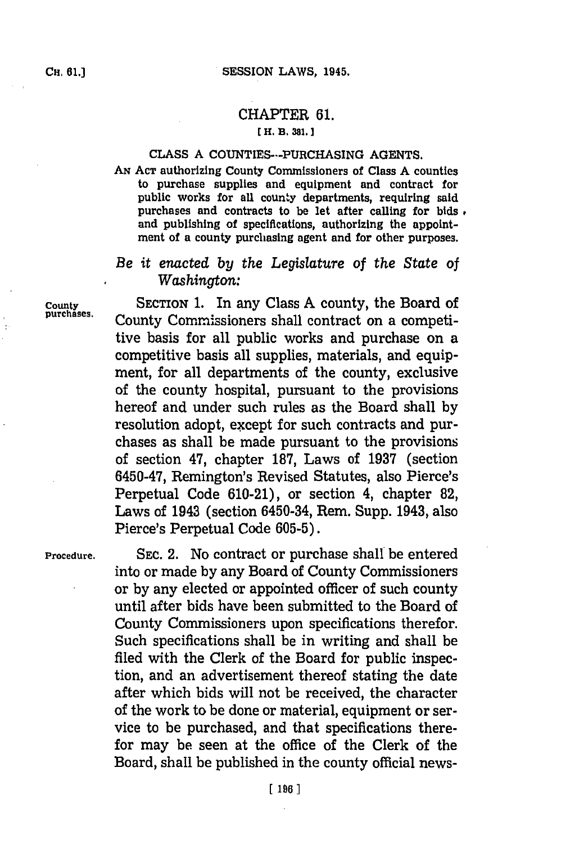## CHAPTER **61.**

### **EH. B. 381,]1**

### **CLASS A** COUNTIES---PURCHASING **AGENTS.**

Ax **ACT** authorizing County Commissioners of Class **A** counties to purchase supplies and equipment and contract for public works for all county departments, requiring said purchases and contracts to be let after calling for bids **,** and publishing of specifications, authorizing the appointment of a county purchasing agent and for other purposes.

# *Be it enacted by the Legislature* of *the State* of  $W$ *ashington:*

**County** SECTION **1.** In any Class **A** county, the Board of County Commissioners shall contract on a competitive basis for all public works and purchase on a competitive basis all supplies, materials, and equipment, for all departments of the county, exclusive of the county hospital, pursuant to the provisions hereof and under such rules as the Board shall **by** resolution adopt, except for such contracts and purchases as shall be made pursuant to the provisions of section 47, chapter **187,** Laws of **1937** (section 6450-47, Remington's Revised Statutes, also Pierce's Perpetual Code **610-21),** or section 4, chapter **82,** Laws of 1943 (section 6450-34, Rem. Supp. 1943, also Pierce's Perpetual Code **605-5).**

**Procedure. SEC.** 2. No contract or purchase shall be entered into or made **by** any Board of County Commissioners or **by** any elected or appointed officer of such county until after bids have been submitted to the Board of County Commissioners upon specifications therefor. Such specifications shall be in writing and shall be filed with the Clerk of the Board for public inspection, and an advertisement thereof stating the date after which bids will not be received, the character of the work to be done or material, equipment or service to be purchased, and that specifications therefor may be seen at the office of the Clerk of the Board, shall be published in the county official news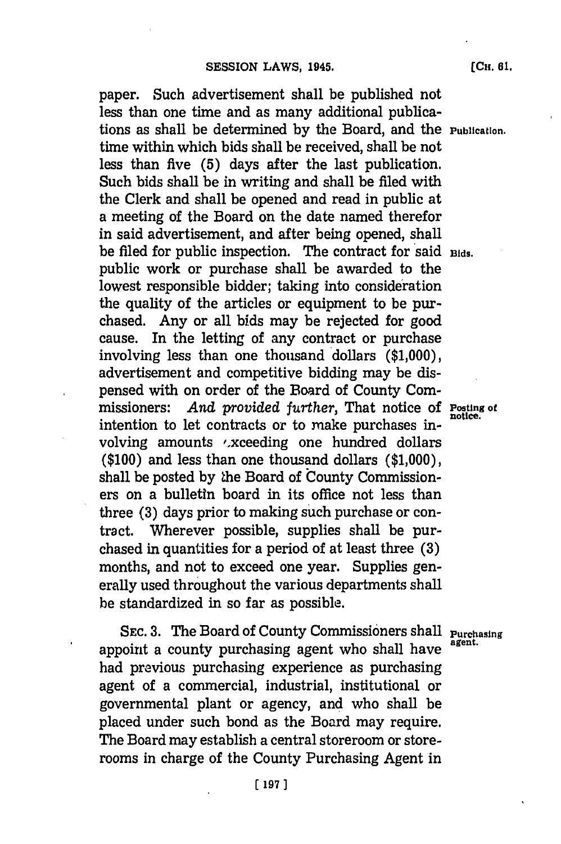paper. Such advertisement shall be published not less than one time and as many additional publications as shall be determined **by** the Board, and the **Publication.** time within which bids shall be received, shall be not less than five **(5)** days after the last publication. Such bids shall be in writing and shall be filed with the Clerk and shall be opened and read in public at a meeting of the Board on the date named therefor in said advertisement, and after being opened, shall be filed for public inspection. The contract for said Bids. public work or purchase shall be awarded to the lowest responsible bidder; taking into consideration the quality of the articles or equipment to be purchased. Any or all bids may be rejected for good cause. In the letting of any contract or purchase involving less than one thousand dollars **(\$1,000),** advertisement and competitive bidding may be dispensed with on order of the Board of County Commissioners: *And provided further,* That notice of **Posting of** intention to let contracts or to make purchases involving amounts .xceeding one hundred dollars **(\$100)** and less than one thousand dollars **(\$1,000),** shall be posted by the Board of County Commissioners on a bulletin board in its office not less than three **(3)** days prior to making such purchase or contract. Wherever possible, supplies shall be purchased in quantities for a period of at least three **(3)** months, and not to exceed one year. Supplies generally used throughout the various departments shall be standardized in so far as possible.

SEC. 3. The Board of County Commissioners shall **Purchasing** appoint a county purchasing agent who shall have had previous purchasing experience as purchasing agent of a commercial, industrial, institutional or governmental plant or agency, and who shall be placed under such bond as the Board may require. The Board may establish a central storeroom or storerooms in charge of the County Purchasing Agent in

**[ 197)1**

**[CH. 61.**